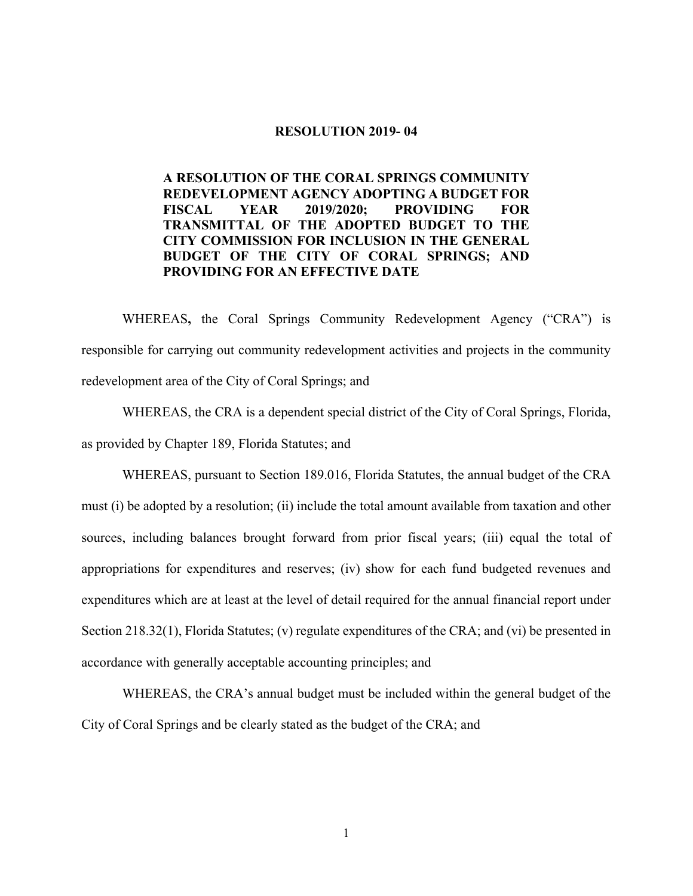#### **RESOLUTION 2019- 04**

 **REDEVELOPMENT AGENCY ADOPTING A BUDGET FOR FISCAL CITY COMMISSION FOR INCLUSION IN THE GENERAL PROVIDING FOR AN EFFECTIVE DATE A RESOLUTION OF THE CORAL SPRINGS COMMUNITY FISCAL YEAR 2019/2020; PROVIDING FOR TRANSMITTAL OF THE ADOPTED BUDGET TO THE BUDGET OF THE CITY OF CORAL SPRINGS; AND** 

WHEREAS**,** the Coral Springs Community Redevelopment Agency ("CRA") is responsible for carrying out community redevelopment activities and projects in the community redevelopment area of the City of Coral Springs; and

 WHEREAS, the CRA is a dependent special district of the City of Coral Springs, Florida, as provided by Chapter 189, Florida Statutes; and

 WHEREAS, pursuant to Section 189.016, Florida Statutes, the annual budget of the CRA must (i) be adopted by a resolution; (ii) include the total amount available from taxation and other sources, including balances brought forward from prior fiscal years; (iii) equal the total of appropriations for expenditures and reserves; (iv) show for each fund budgeted revenues and expenditures which are at least at the level of detail required for the annual financial report under Section 218.32(1), Florida Statutes; (v) regulate expenditures of the CRA; and (vi) be presented in accordance with generally acceptable accounting principles; and

 WHEREAS, the CRA's annual budget must be included within the general budget of the City of Coral Springs and be clearly stated as the budget of the CRA; and

1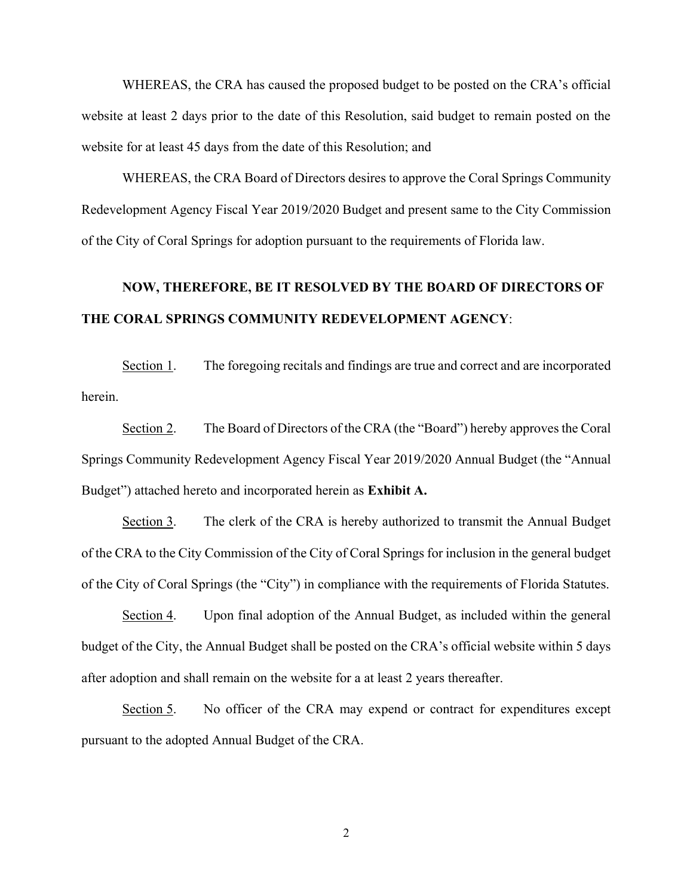WHEREAS, the CRA has caused the proposed budget to be posted on the CRA's official website at least 2 days prior to the date of this Resolution, said budget to remain posted on the website for at least 45 days from the date of this Resolution; and

WHEREAS, the CRA Board of Directors desires to approve the Coral Springs Community Redevelopment Agency Fiscal Year 2019/2020 Budget and present same to the City Commission of the City of Coral Springs for adoption pursuant to the requirements of Florida law.

# **NOW, THEREFORE, BE IT RESOLVED BY THE BOARD OF DIRECTORS OF THE CORAL SPRINGS COMMUNITY REDEVELOPMENT AGENCY**:

Section 1. The foregoing recitals and findings are true and correct and are incorporated herein.

Section 2. The Board of Directors of the CRA (the "Board") hereby approves the Coral Springs Community Redevelopment Agency Fiscal Year 2019/2020 Annual Budget (the "Annual Budget") attached hereto and incorporated herein as **Exhibit A.** 

Section 3. The clerk of the CRA is hereby authorized to transmit the Annual Budget of the CRA to the City Commission of the City of Coral Springs for inclusion in the general budget of the City of Coral Springs (the "City") in compliance with the requirements of Florida Statutes.

Section 4. Upon final adoption of the Annual Budget, as included within the general budget of the City, the Annual Budget shall be posted on the CRA's official website within 5 days after adoption and shall remain on the website for a at least 2 years thereafter.

Section 5. No officer of the CRA may expend or contract for expenditures except pursuant to the adopted Annual Budget of the CRA.

2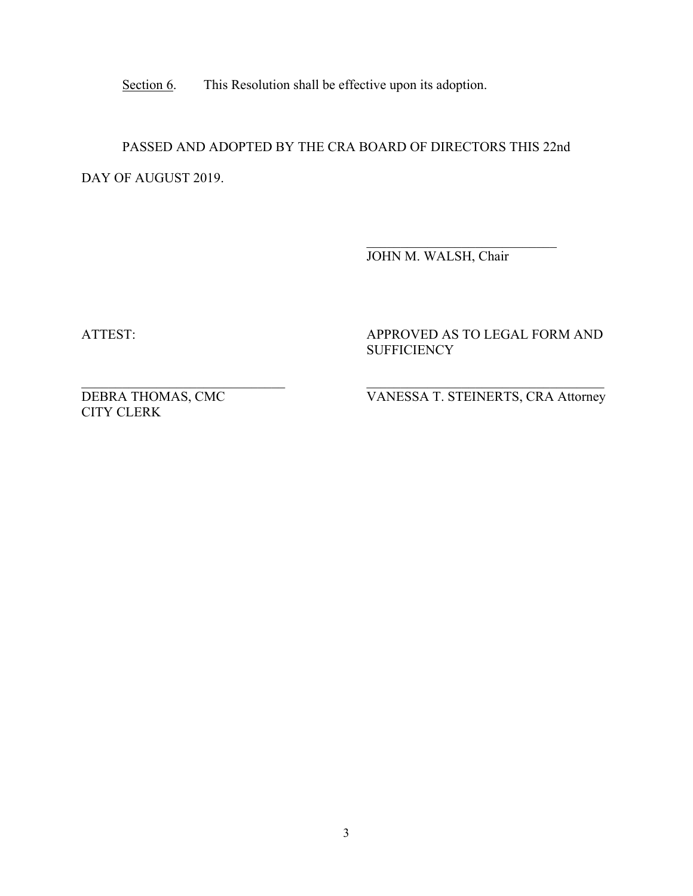Section 6. This Resolution shall be effective upon its adoption.

PASSED AND ADOPTED BY THE CRA BOARD OF DIRECTORS THIS 22nd DAY OF AUGUST 2019.

> $\overline{\phantom{a}}$  , and the set of the set of the set of the set of the set of the set of the set of the set of the set of the set of the set of the set of the set of the set of the set of the set of the set of the set of the s JOHN M. WALSH, Chair

ATTEST:

APPROVED AS TO LEGAL FORM AND **SUFFICIENCY** 

DEBRA THOMAS, CMC CITY CLERK

VANESSA T. STEINERTS, CRA Attorney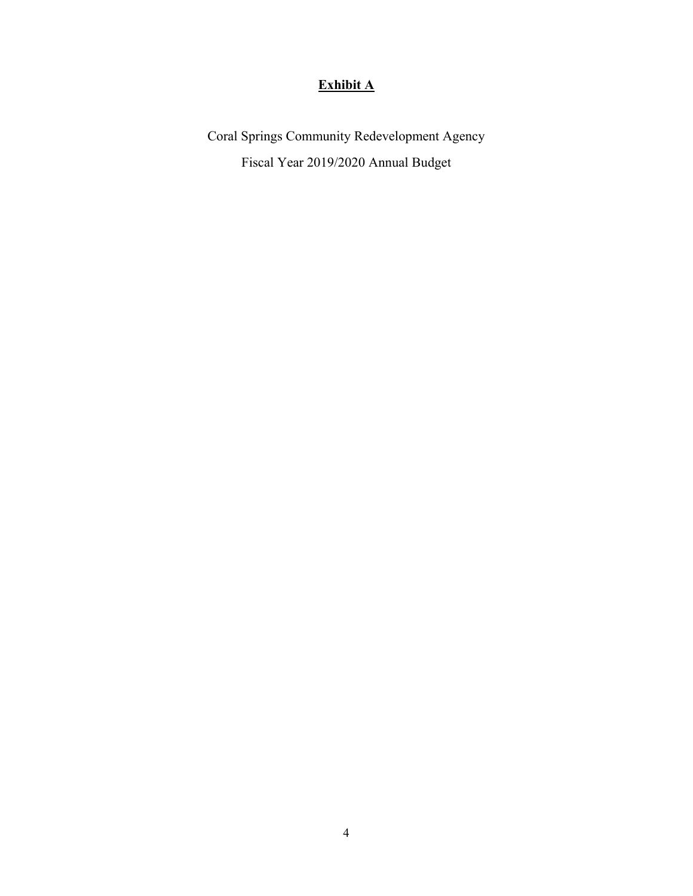### **Exhibit A**

Coral Springs Community Redevelopment Agency Fiscal Year 2019/2020 Annual Budget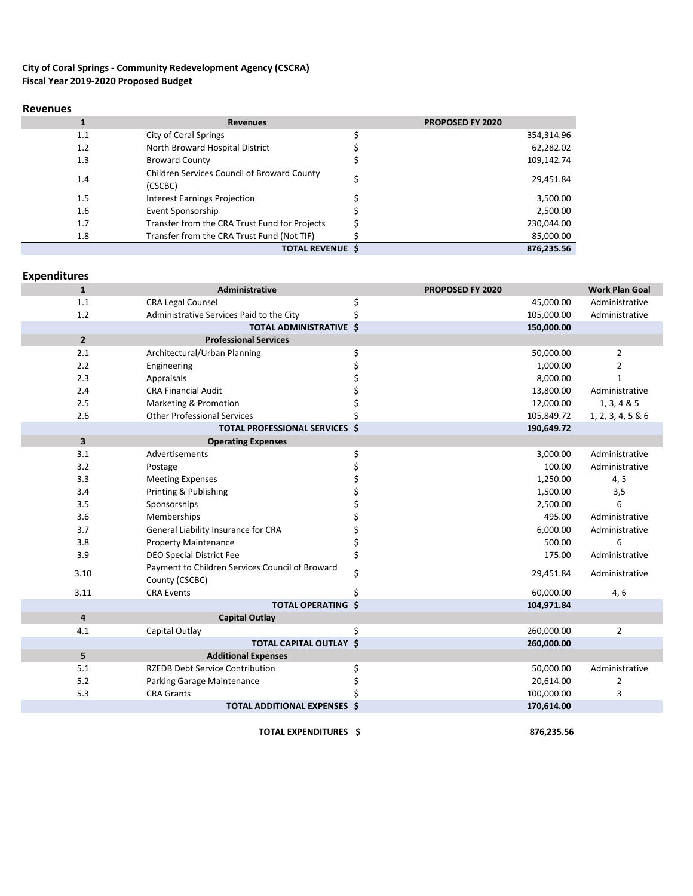### **City of Coral Springs - Community Redevelopment Agency (CSCRA) Fiscal Year 2019-2020 Proposed Budget**

#### **Revenues**

|         | <b>Revenues</b>                                               | <b>PROPOSED FY 2020</b> |
|---------|---------------------------------------------------------------|-------------------------|
| 1.1     | <b>City of Coral Springs</b>                                  | 354,314.96              |
| 1.2     | North Broward Hospital District                               | 62,282.02               |
| 1.3     | <b>Broward County</b>                                         | 109,142.74              |
| 1.4     | <b>Children Services Council of Broward County</b><br>(CSCBC) | 29,451.84               |
| 1.5     | <b>Interest Earnings Projection</b>                           | 3,500.00                |
| $1.6\,$ | Event Sponsorship                                             | 2,500.00                |
| 1.7     | Transfer from the CRA Trust Fund for Projects                 | 230,044.00              |
| 1.8     | Transfer from the CRA Trust Fund (Not TIF)                    | 85,000.00               |
|         | <b>TOTAL REVENUE \$</b>                                       | 876,235.56              |

## **Expenditures**

| $\mathbf{1}$            | Administrative                                                    |    | PROPOSED FY 2020 | <b>Work Plan Goal</b> |
|-------------------------|-------------------------------------------------------------------|----|------------------|-----------------------|
| 1.1                     | <b>CRA Legal Counsel</b>                                          | \$ | 45,000.00        | Administrative        |
| 1.2                     | Administrative Services Paid to the City                          | \$ | 105,000.00       | Administrative        |
|                         | <b>TOTAL ADMINISTRATIVE \$</b>                                    |    | 150,000.00       |                       |
| $\overline{2}$          | <b>Professional Services</b>                                      |    |                  |                       |
| 2.1                     | Architectural/Urban Planning                                      | \$ | 50,000.00        | $\overline{2}$        |
| 2.2                     | Engineering                                                       |    | 1,000.00         | $\overline{2}$        |
| 2.3                     | Appraisals                                                        |    | 8,000.00         | 1                     |
| 2.4                     | <b>CRA Financial Audit</b>                                        |    | 13,800.00        | Administrative        |
| 2.5                     | Marketing & Promotion                                             |    | 12,000.00        | 1, 3, 4 & 5           |
| 2.6                     | <b>Other Professional Services</b>                                |    | 105,849.72       | 1, 2, 3, 4, 5 & 6     |
|                         | <b>TOTAL PROFESSIONAL SERVICES \$</b>                             |    | 190,649.72       |                       |
| $\overline{\mathbf{3}}$ | <b>Operating Expenses</b>                                         |    |                  |                       |
| 3.1                     | Advertisements                                                    | \$ | 3,000.00         | Administrative        |
| 3.2                     | Postage                                                           | \$ | 100.00           | Administrative        |
| 3.3                     | <b>Meeting Expenses</b>                                           |    | 1,250.00         | 4, 5                  |
| 3.4                     | Printing & Publishing                                             |    | 1,500.00         | 3,5                   |
| 3.5                     | Sponsorships                                                      |    | 2,500.00         | 6                     |
| 3.6                     | Memberships                                                       |    | 495.00           | Administrative        |
| 3.7                     | General Liability Insurance for CRA                               |    | 6,000.00         | Administrative        |
| 3.8                     | <b>Property Maintenance</b>                                       | \$ | 500.00           | 6                     |
| 3.9                     | <b>DEO Special District Fee</b>                                   | Ś  | 175.00           | Administrative        |
| 3.10                    | Payment to Children Services Council of Broward<br>County (CSCBC) | \$ | 29,451.84        | Administrative        |
| 3.11                    | <b>CRA Events</b>                                                 |    | 60,000.00        | 4, 6                  |
|                         | <b>TOTAL OPERATING \$</b>                                         |    | 104,971.84       |                       |
| $\overline{4}$          | <b>Capital Outlay</b>                                             |    |                  |                       |
| 4.1                     | Capital Outlay                                                    | \$ | 260,000.00       | $\overline{2}$        |
|                         | TOTAL CAPITAL OUTLAY \$                                           |    | 260,000.00       |                       |
| 5                       | <b>Additional Expenses</b>                                        |    |                  |                       |
| 5.1                     | <b>RZEDB Debt Service Contribution</b>                            | \$ | 50,000.00        | Administrative        |
| 5.2                     | Parking Garage Maintenance                                        |    | 20,614.00        | $\overline{2}$        |
| 5.3                     | <b>CRA Grants</b>                                                 |    | 100,000.00       | 3                     |
|                         | <b>TOTAL ADDITIONAL EXPENSES \$</b>                               |    | 170,614.00       |                       |
|                         |                                                                   |    |                  |                       |

**TOTAL EXPENDITURES \$ 876,235.56**